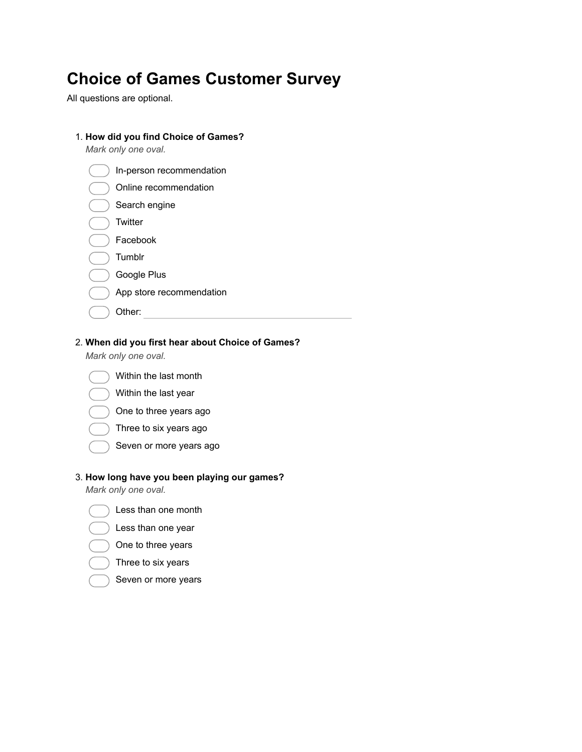# **Choice of Games Customer Survey**

All questions are optional.

1. **How did you find Choice of Games?**

| Mark only one oval.      |
|--------------------------|
| In-person recommendation |
| Online recommendation    |
| Search engine            |
| Twitter                  |
| Facebook                 |
| Tumblr                   |
| Google Plus              |
| App store recommendation |
| Other:                   |
|                          |

#### 2. **When did you first hear about Choice of Games?**

*Mark only one oval.*



- Within the last year
- One to three years ago
- Three to six years ago
- Seven or more years ago

#### 3. **How long have you been playing our games?**

*Mark only one oval.*

- Less than one month
- Less than one year
- One to three years
- Three to six years
- Seven or more years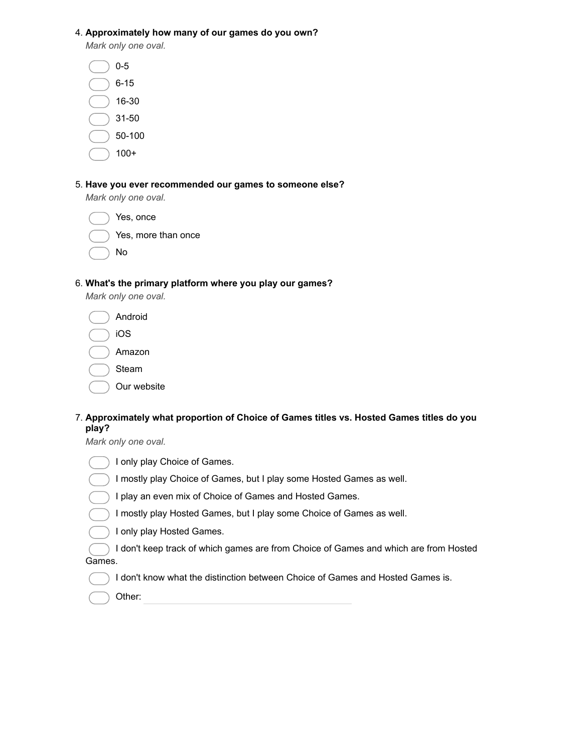4. **Approximately how many of our games do you own?**

*Mark only one oval.*

- 6-15
- 16-30
- 31-50
- 50-100
- 100+
- 

#### 5. **Have you ever recommended our games to someone else?**

*Mark only one oval.*

|  | Yes, once           |  |
|--|---------------------|--|
|  | Yes, more than once |  |

No

#### 6. **What's the primary platform where you play our games?**

*Mark only one oval.*

| Android     |
|-------------|
| iOS         |
| Amazon      |
| Steam       |
| Our website |

### 7. **Approximately what proportion of Choice of Games titles vs. Hosted Games titles do you play?**

*Mark only one oval.*

| $(\quad)$ I only play Choice of Games.                                          |  |
|---------------------------------------------------------------------------------|--|
| $\bigcirc$ I mostly play Choice of Games, but I play some Hosted Games as well. |  |

- I play an even mix of Choice of Games and Hosted Games.
- I mostly play Hosted Games, but I play some Choice of Games as well.
- I only play Hosted Games.

I don't keep track of which games are from Choice of Games and which are from Hosted

Games.

- I don't know what the distinction between Choice of Games and Hosted Games is.
- Other: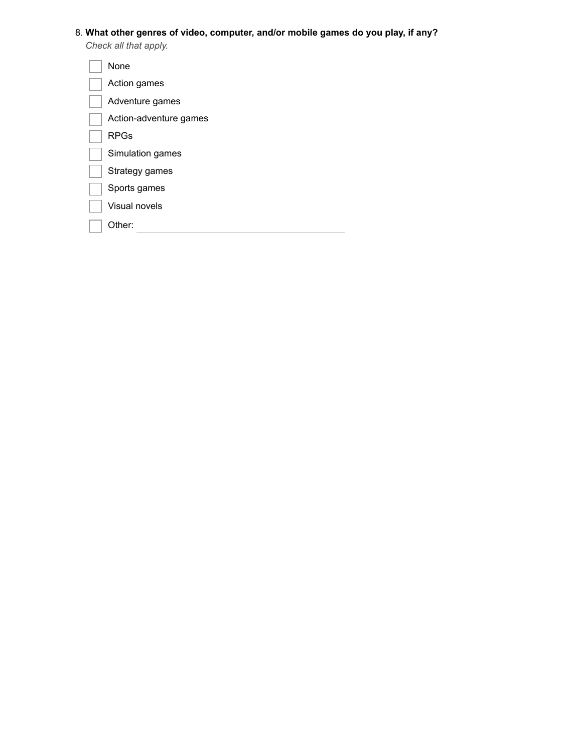### 8. **What other genres of video, computer, and/or mobile games do you play, if any?**

*Check all that apply.*

| None                   |
|------------------------|
| Action games           |
| Adventure games        |
| Action-adventure games |
| <b>RPGs</b>            |
| Simulation games       |
| Strategy games         |
| Sports games           |
| <b>Visual novels</b>   |
| Other:                 |
|                        |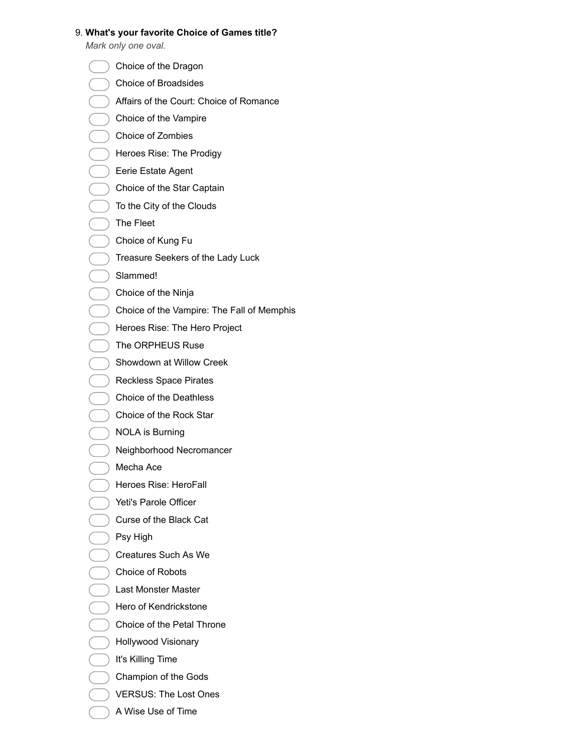#### 9. **What's your favorite Choice of Games title?**

*Mark only one oval.*

- Choice of the Dragon
- Choice of Broadsides
- Affairs of the Court: Choice of Romance
- Choice of the Vampire
- Choice of Zombies
- Heroes Rise: The Prodigy
- Eerie Estate Agent
- Choice of the Star Captain
- ) To the City of the Clouds
- The Fleet
- Choice of Kung Fu
- Treasure Seekers of the Lady Luck
- Slammed!
- Choice of the Ninja
- Choice of the Vampire: The Fall of Memphis
- Heroes Rise: The Hero Project
- The ORPHEUS Ruse
- Showdown at Willow Creek
- Reckless Space Pirates
- Choice of the Deathless
- Choice of the Rock Star
- NOLA is Burning
	- Neighborhood Necromancer
- Mecha Ace
- Heroes Rise: HeroFall
- Yeti's Parole Officer
- Curse of the Black Cat
- Psy High
- Creatures Such As We
- Choice of Robots
- Last Monster Master
- Hero of Kendrickstone
- Choice of the Petal Throne
- Hollywood Visionary
- It's Killing Time
- Champion of the Gods
- VERSUS: The Lost Ones
- A Wise Use of Time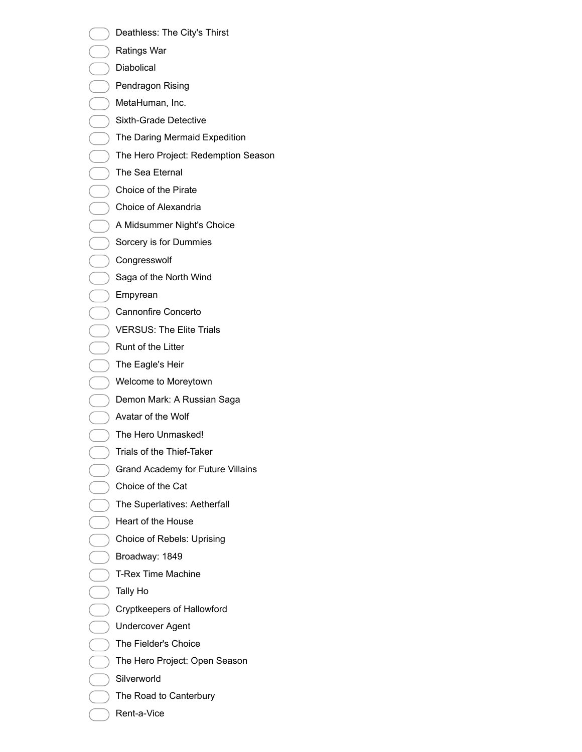- Deathless: The City's Thirst
- Ratings War
- Diabolical
- Pendragon Rising
- MetaHuman, Inc.
- Sixth-Grade Detective
- The Daring Mermaid Expedition
- The Hero Project: Redemption Season
- The Sea Eternal
- Choice of the Pirate
- Choice of Alexandria
- A Midsummer Night's Choice
- Sorcery is for Dummies
- Congresswolf
- Saga of the North Wind
- Empyrean
- Cannonfire Concerto
- VERSUS: The Elite Trials
- Runt of the Litter
- The Eagle's Heir
- Welcome to Moreytown
- Demon Mark: A Russian Saga
- Avatar of the Wolf
- The Hero Unmasked!
- Trials of the Thief-Taker
- Grand Academy for Future Villains
- Choice of the Cat
- The Superlatives: Aetherfall
- Heart of the House
- Choice of Rebels: Uprising
- Broadway: 1849
- T-Rex Time Machine
- Tally Ho
- Cryptkeepers of Hallowford
- Undercover Agent
- The Fielder's Choice
- The Hero Project: Open Season
- Silverworld
- The Road to Canterbury
- Rent-a-Vice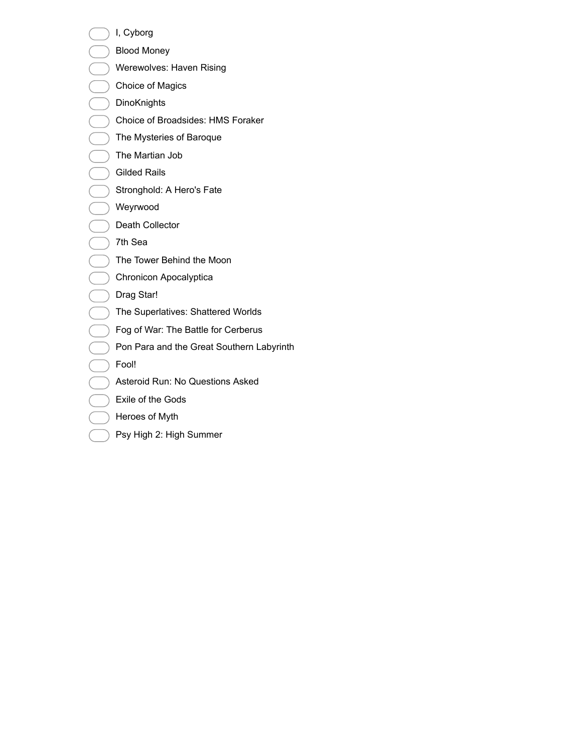I, Cyborg

- Blood Money
- Werewolves: Haven Rising
- Choice of Magics
- **DinoKnights**
- Choice of Broadsides: HMS Foraker
- The Mysteries of Baroque
- The Martian Job
- Gilded Rails
- Stronghold: A Hero's Fate
- Weyrwood
- Death Collector
- 7th Sea
- The Tower Behind the Moon
- Chronicon Apocalyptica
- Drag Star!
- The Superlatives: Shattered Worlds
- Fog of War: The Battle for Cerberus
- Pon Para and the Great Southern Labyrinth
- Fool!
- Asteroid Run: No Questions Asked
- Exile of the Gods
- Heroes of Myth
- Psy High 2: High Summer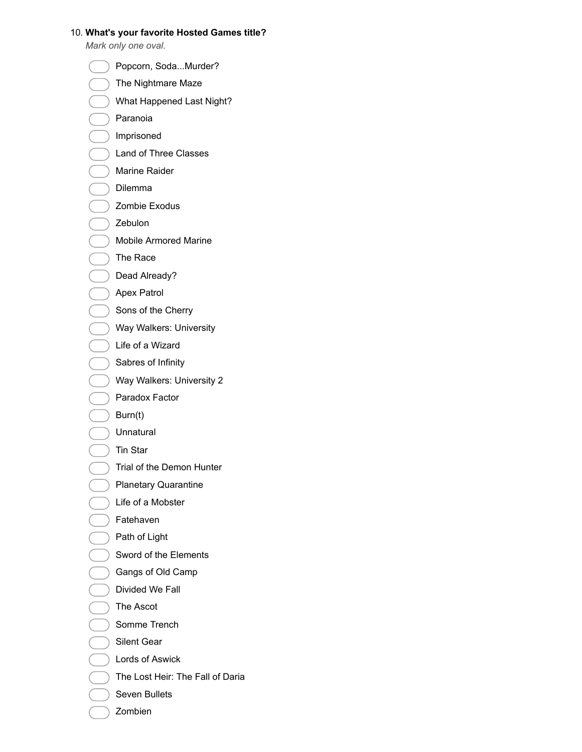#### 10. **What's your favorite Hosted Games title?**

*Mark only one oval.*

- Popcorn, Soda...Murder?
- The Nightmare Maze
- What Happened Last Night?
- Paranoia
- Imprisoned
- Land of Three Classes
- Marine Raider
- Dilemma
- Zombie Exodus
- Zebulon
- Mobile Armored Marine
- The Race
- Dead Already?
- Apex Patrol
- Sons of the Cherry
- Way Walkers: University
- Life of a Wizard
- Sabres of Infinity
- Way Walkers: University 2
- Paradox Factor
- Burn(t)
- Unnatural
- Tin Star
- ) Trial of the Demon Hunter
- Planetary Quarantine
- Life of a Mobster
- Fatehaven
- $\big)$  Path of Light
- Sword of the Elements
- Gangs of Old Camp
- Divided We Fall
- The Ascot
- Somme Trench
- Silent Gear
- Lords of Aswick
- The Lost Heir: The Fall of Daria
- Seven Bullets
- Zombien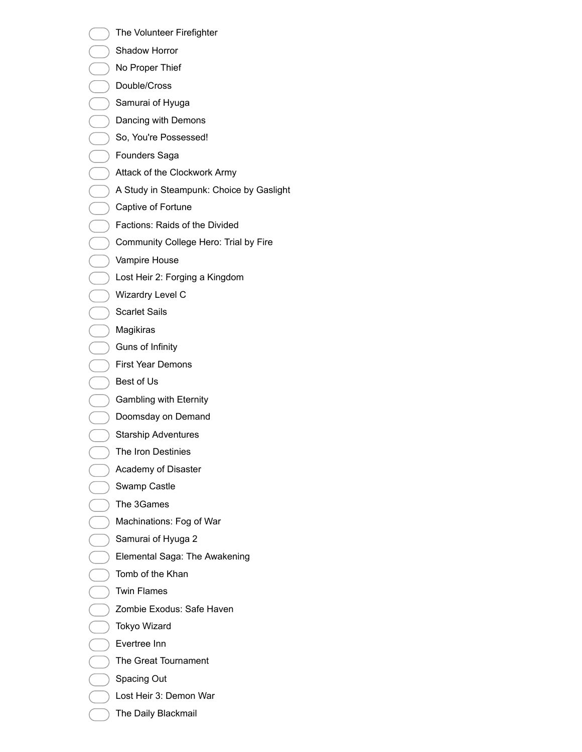- The Volunteer Firefighter
- Shadow Horror
- No Proper Thief
- Double/Cross
- Samurai of Hyuga
- Dancing with Demons
- So, You're Possessed!
- Founders Saga
- Attack of the Clockwork Army
- A Study in Steampunk: Choice by Gaslight
- Captive of Fortune
- Factions: Raids of the Divided
- Community College Hero: Trial by Fire
- Vampire House
- Lost Heir 2: Forging a Kingdom
- Wizardry Level C
- Scarlet Sails
- Magikiras
- Guns of Infinity
- First Year Demons
- Best of Us
- Gambling with Eternity
- Doomsday on Demand
- Starship Adventures
- The Iron Destinies
- Academy of Disaster
- Swamp Castle
- The 3Games
- Machinations: Fog of War
- Samurai of Hyuga 2
- Elemental Saga: The Awakening
- Tomb of the Khan
- Twin Flames
- Zombie Exodus: Safe Haven
- Tokyo Wizard
- Evertree Inn
- The Great Tournament
- Spacing Out
- Lost Heir 3: Demon War
- The Daily Blackmail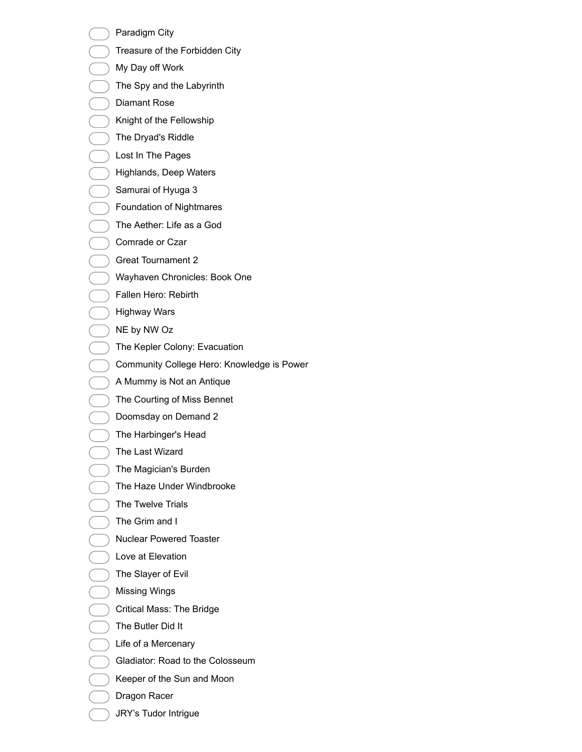- Paradigm City
- Treasure of the Forbidden City
- My Day off Work
- The Spy and the Labyrinth
- Diamant Rose
- Knight of the Fellowship
- The Dryad's Riddle
- Lost In The Pages
- Highlands, Deep Waters
- Samurai of Hyuga 3
- Foundation of Nightmares
- ) The Aether: Life as a God
- Comrade or Czar
- Great Tournament 2
- Wayhaven Chronicles: Book One
- Fallen Hero: Rebirth
- Highway Wars
- NE by NW Oz
- The Kepler Colony: Evacuation
- Community College Hero: Knowledge is Power
- A Mummy is Not an Antique
- The Courting of Miss Bennet
- Doomsday on Demand 2
- The Harbinger's Head
- The Last Wizard
- The Magician's Burden
- The Haze Under Windbrooke
- The Twelve Trials
- The Grim and I
- Nuclear Powered Toaster
- Love at Elevation
- The Slayer of Evil
- Missing Wings
- Critical Mass: The Bridge
- The Butler Did It
- Life of a Mercenary
- Gladiator: Road to the Colosseum
- Keeper of the Sun and Moon
- Dragon Racer
- JRY's Tudor Intrigue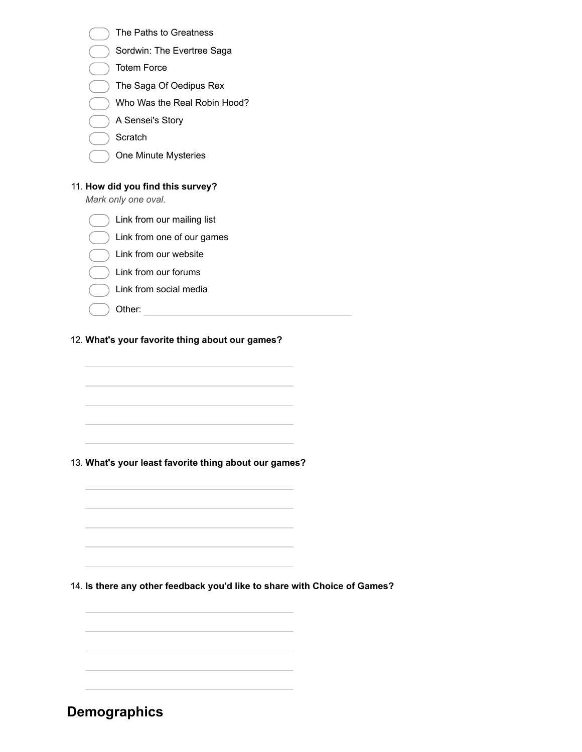| The Paths to Greatness                                                    |  |
|---------------------------------------------------------------------------|--|
| Sordwin: The Evertree Saga                                                |  |
| <b>Totem Force</b>                                                        |  |
| The Saga Of Oedipus Rex                                                   |  |
| Who Was the Real Robin Hood?                                              |  |
| A Sensei's Story                                                          |  |
| Scratch                                                                   |  |
| One Minute Mysteries                                                      |  |
|                                                                           |  |
| 11. How did you find this survey?<br>Mark only one oval.                  |  |
| Link from our mailing list                                                |  |
| Link from one of our games                                                |  |
| Link from our website                                                     |  |
| Link from our forums                                                      |  |
| Link from social media                                                    |  |
| Other:                                                                    |  |
|                                                                           |  |
|                                                                           |  |
| 13. What's your least favorite thing about our games?                     |  |
|                                                                           |  |
|                                                                           |  |
|                                                                           |  |
|                                                                           |  |
| 14. Is there any other feedback you'd like to share with Choice of Games? |  |
| <u> 1989 - Johann Stoff, amerikansk politiker (d. 1989)</u>               |  |
|                                                                           |  |
|                                                                           |  |
|                                                                           |  |
|                                                                           |  |
|                                                                           |  |

**Demographics**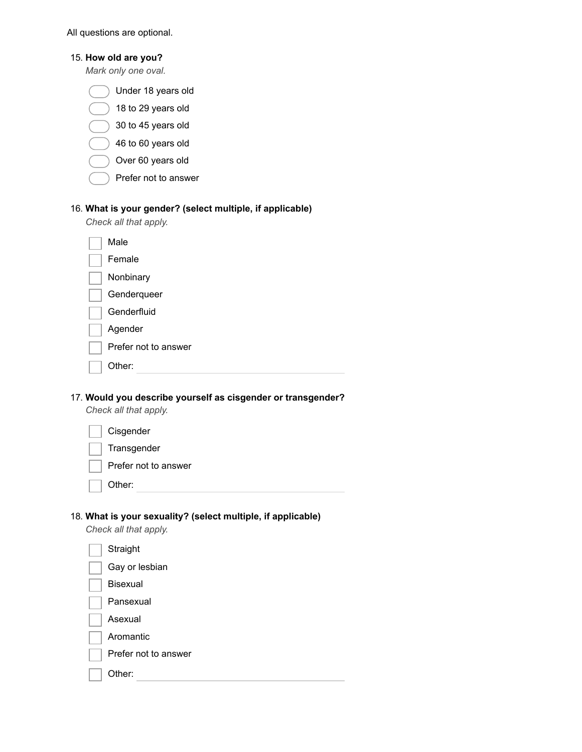All questions are optional.

|  |  |  |  | 15. How old are you? |
|--|--|--|--|----------------------|
|--|--|--|--|----------------------|

*Mark only one oval.*

|  | Under 18 years old |  |  |  |
|--|--------------------|--|--|--|
|--|--------------------|--|--|--|

- 18 to 29 years old
- 30 to 45 years old
- 46 to 60 years old
- Over 60 years old
- Prefer not to answer

#### 16. **What is your gender? (select multiple, if applicable)**

*Check all that apply.*

| Male                 |
|----------------------|
| Female               |
| Nonbinary            |
| Genderqueer          |
| Genderfluid          |
| Agender              |
| Prefer not to answer |
| Other:               |

17. **Would you describe yourself as cisgender or transgender?**

*Check all that apply.*

| Cisgender            |
|----------------------|
| Transgender          |
| Prefer not to answer |
| Other:               |

#### 18. **What is your sexuality? (select multiple, if applicable)**

*Check all that apply.*

| Straight             |  |
|----------------------|--|
| Gay or lesbian       |  |
| <b>Bisexual</b>      |  |
| Pansexual            |  |
| Asexual              |  |
| Aromantic            |  |
| Prefer not to answer |  |
| ther:                |  |